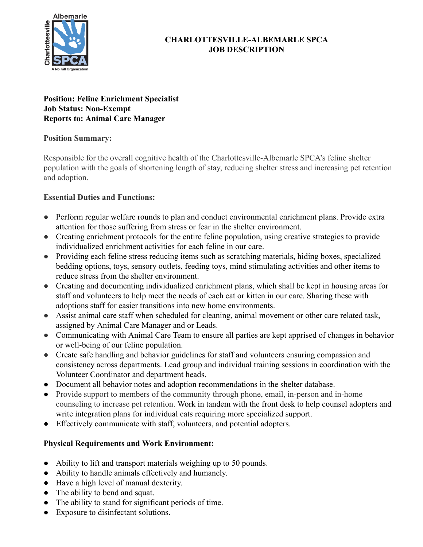

## **CHARLOTTESVILLE-ALBEMARLE SPCA JOB DESCRIPTION**

#### **Position: Feline Enrichment Specialist Job Status: Non-Exempt Reports to: Animal Care Manager**

#### **Position Summary:**

Responsible for the overall cognitive health of the Charlottesville-Albemarle SPCA's feline shelter population with the goals of shortening length of stay, reducing shelter stress and increasing pet retention and adoption.

### **Essential Duties and Functions:**

- Perform regular welfare rounds to plan and conduct environmental enrichment plans. Provide extra attention for those suffering from stress or fear in the shelter environment.
- Creating enrichment protocols for the entire feline population, using creative strategies to provide individualized enrichment activities for each feline in our care.
- Providing each feline stress reducing items such as scratching materials, hiding boxes, specialized bedding options, toys, sensory outlets, feeding toys, mind stimulating activities and other items to reduce stress from the shelter environment.
- Creating and documenting individualized enrichment plans, which shall be kept in housing areas for staff and volunteers to help meet the needs of each cat or kitten in our care. Sharing these with adoptions staff for easier transitions into new home environments.
- Assist animal care staff when scheduled for cleaning, animal movement or other care related task, assigned by Animal Care Manager and or Leads.
- Communicating with Animal Care Team to ensure all parties are kept apprised of changes in behavior or well-being of our feline population.
- Create safe handling and behavior guidelines for staff and volunteers ensuring compassion and consistency across departments. Lead group and individual training sessions in coordination with the Volunteer Coordinator and department heads.
- Document all behavior notes and adoption recommendations in the shelter database.
- Provide support to members of the community through phone, email, in-person and in-home counseling to increase pet retention. Work in tandem with the front desk to help counsel adopters and write integration plans for individual cats requiring more specialized support.
- Effectively communicate with staff, volunteers, and potential adopters.

# **Physical Requirements and Work Environment:**

- Ability to lift and transport materials weighing up to 50 pounds.
- Ability to handle animals effectively and humanely.
- Have a high level of manual dexterity.
- The ability to bend and squat.
- The ability to stand for significant periods of time.
- Exposure to disinfectant solutions.